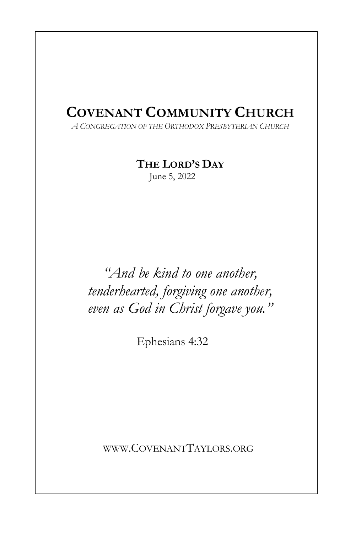# COVENANT COMMUNITY CHURCH

A CONGREGATION OF THE ORTHODOX PRESBYTERIAN CHURCH

## THE LORD'S DAY

June 5, 2022

"And be kind to one another, tenderhearted, forgiving one another, even as God in Christ forgave you."

Ephesians 4:32

WWW.COVENANTTAYLORS.ORG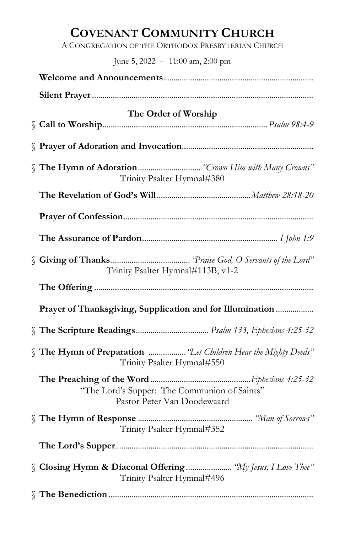## COVENANT COMMUNITY CHURCH

A CONGREGATION OF THE ORTHODOX PRESBYTERIAN CHURCH

June 5, 2022 – 11:00 am, 2:00 pm

| The Order of Worship                                                                          |  |  |
|-----------------------------------------------------------------------------------------------|--|--|
|                                                                                               |  |  |
| Trinity Psalter Hymnal#380                                                                    |  |  |
|                                                                                               |  |  |
|                                                                                               |  |  |
|                                                                                               |  |  |
| Trinity Psalter Hymnal#113B, v1-2                                                             |  |  |
|                                                                                               |  |  |
| Prayer of Thanksgiving, Supplication and for Illumination                                     |  |  |
|                                                                                               |  |  |
| S The Hymn of Preparation  "Let Children Hear the Mighty Deeds"<br>Trinity Psalter Hymnal#550 |  |  |
| "The Lord's Supper: The Communion of Saints"<br>Pastor Peter Van Doodewaard                   |  |  |
| Trinity Psalter Hymnal#352                                                                    |  |  |
|                                                                                               |  |  |
| S Closing Hymn & Diaconal Offering  "My Jesus, I Love Thee"<br>Trinity Psalter Hymnal#496     |  |  |
|                                                                                               |  |  |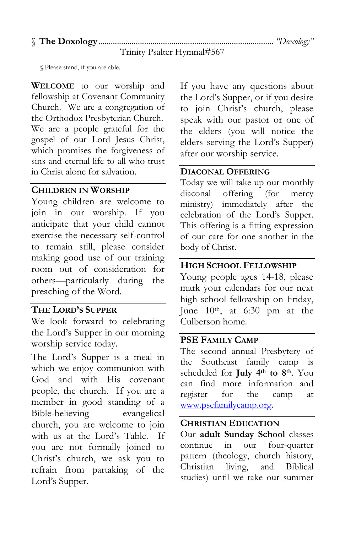### § The Doxology .................................................................................... "Doxology"

Trinity Psalter Hymnal#567

§ Please stand, if you are able.

WELCOME to our worship and fellowship at Covenant Community Church. We are a congregation of the Orthodox Presbyterian Church. We are a people grateful for the gospel of our Lord Jesus Christ, which promises the forgiveness of sins and eternal life to all who trust in Christ alone for salvation.

#### CHILDREN IN WORSHIP

Young children are welcome to join in our worship. If you anticipate that your child cannot exercise the necessary self-control to remain still, please consider making good use of our training room out of consideration for others—particularly during the preaching of the Word.

#### THE LORD'S SUPPER

We look forward to celebrating the Lord's Supper in our morning worship service today.

The Lord's Supper is a meal in which we enjoy communion with God and with His covenant people, the church. If you are a member in good standing of a Bible-believing evangelical church, you are welcome to join with us at the Lord's Table. If you are not formally joined to Christ's church, we ask you to refrain from partaking of the Lord's Supper.

If you have any questions about the Lord's Supper, or if you desire to join Christ's church, please speak with our pastor or one of the elders (you will notice the elders serving the Lord's Supper) after our worship service.

#### DIACONAL OFFERING

Today we will take up our monthly diaconal offering (for mercy ministry) immediately after the celebration of the Lord's Supper. This offering is a fitting expression of our care for one another in the body of Christ.

#### HIGH SCHOOL FELLOWSHIP

Young people ages 14-18, please mark your calendars for our next high school fellowship on Friday, June  $10<sup>th</sup>$ , at 6:30 pm at the Culberson home.

#### PSE FAMILY CAMP

The second annual Presbytery of the Southeast family camp is scheduled for July 4<sup>th</sup> to 8<sup>th</sup>. You can find more information and register for the camp at www.psefamilycamp.org.

#### CHRISTIAN EDUCATION

Our adult Sunday School classes continue in our four-quarter pattern (theology, church history, Christian living, and Biblical studies) until we take our summer